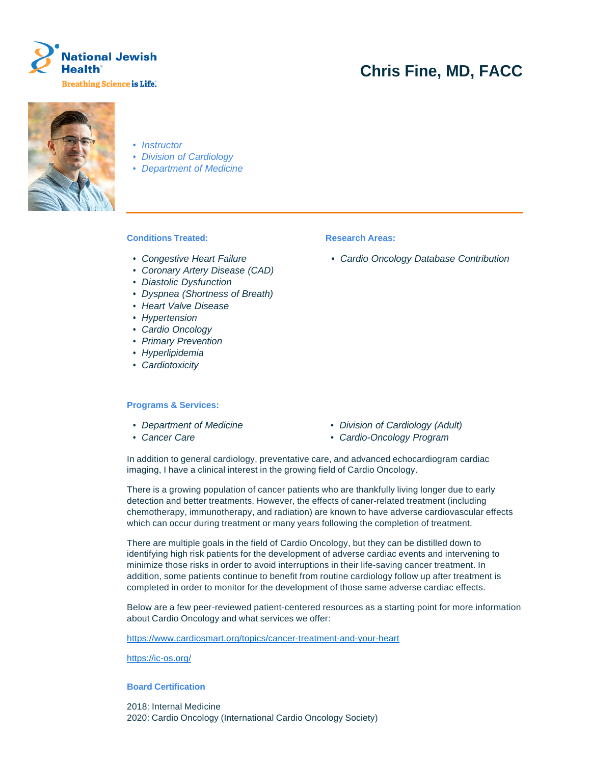

# **Chris Fine, MD, FACC**



- Instructor
- Division of Cardiology
- Department of Medicine

## **Conditions Treated:**

- Congestive Heart Failure
- Coronary Artery Disease (CAD)
- Diastolic Dysfunction
- Dyspnea (Shortness of Breath)
- Heart Valve Disease
- Hypertension
- Cardio Oncology
- Primary Prevention
- Hyperlipidemia
- Cardiotoxicity

### **Programs & Services:**

- 
- 
- Department of Medicine Division of Cardiology (Adult)
- Cancer Care  **Cardio-Oncology Program**

In addition to general cardiology, preventative care, and advanced echocardiogram cardiac imaging, I have a clinical interest in the growing field of Cardio Oncology.

There is a growing population of cancer patients who are thankfully living longer due to early detection and better treatments. However, the effects of caner-related treatment (including chemotherapy, immunotherapy, and radiation) are known to have adverse cardiovascular effects which can occur during treatment or many years following the completion of treatment.

There are multiple goals in the field of Cardio Oncology, but they can be distilled down to identifying high risk patients for the development of adverse cardiac events and intervening to minimize those risks in order to avoid interruptions in their life-saving cancer treatment. In addition, some patients continue to benefit from routine cardiology follow up after treatment is completed in order to monitor for the development of those same adverse cardiac effects.

Below are a few peer-reviewed patient-centered resources as a starting point for more information about Cardio Oncology and what services we offer:

https://www.cardiosmart.org/topics/cancer-treatment-and-your-heart

https://ic-os.org/

#### **Board Certification**

2018: Internal Medicine 2020: Cardio Oncology (International Cardio Oncology Society)

#### **Research Areas:**

• Cardio Oncology Database Contribution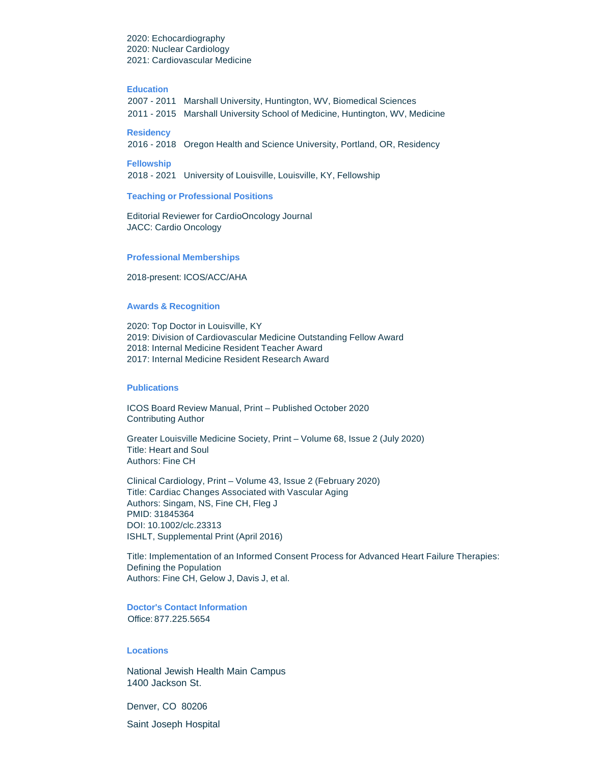2020: Echocardiography 2020: Nuclear Cardiology 2021: Cardiovascular Medicine

#### **Education**

| 2007 - 2011 Marshall University, Huntington, WV, Biomedical Sciences         |
|------------------------------------------------------------------------------|
| 2011 - 2015 Marshall University School of Medicine, Huntington, WV, Medicine |

## **Residency**

2016 - 2018 Oregon Health and Science University, Portland, OR, Residency

#### **Fellowship**

2018 - 2021 University of Louisville, Louisville, KY, Fellowship

#### **Teaching or Professional Positions**

Editorial Reviewer for CardioOncology Journal JACC: Cardio Oncology

#### **Professional Memberships**

2018-present: ICOS/ACC/AHA

#### **Awards & Recognition**

2020: Top Doctor in Louisville, KY 2019: Division of Cardiovascular Medicine Outstanding Fellow Award 2018: Internal Medicine Resident Teacher Award 2017: Internal Medicine Resident Research Award

#### **Publications**

ICOS Board Review Manual, Print – Published October 2020 Contributing Author

Greater Louisville Medicine Society, Print – Volume 68, Issue 2 (July 2020) Title: Heart and Soul Authors: Fine CH

Clinical Cardiology, Print – Volume 43, Issue 2 (February 2020) Title: Cardiac Changes Associated with Vascular Aging Authors: Singam, NS, Fine CH, Fleg J PMID: 31845364 DOI: 10.1002/clc.23313 ISHLT, Supplemental Print (April 2016)

Title: Implementation of an Informed Consent Process for Advanced Heart Failure Therapies: Defining the Population Authors: Fine CH, Gelow J, Davis J, et al.

## **Doctor's Contact Information** Office: 877.225.5654

## **Locations**

National Jewish Health Main Campus 1400 Jackson St.

Denver, CO 80206

Saint Joseph Hospital